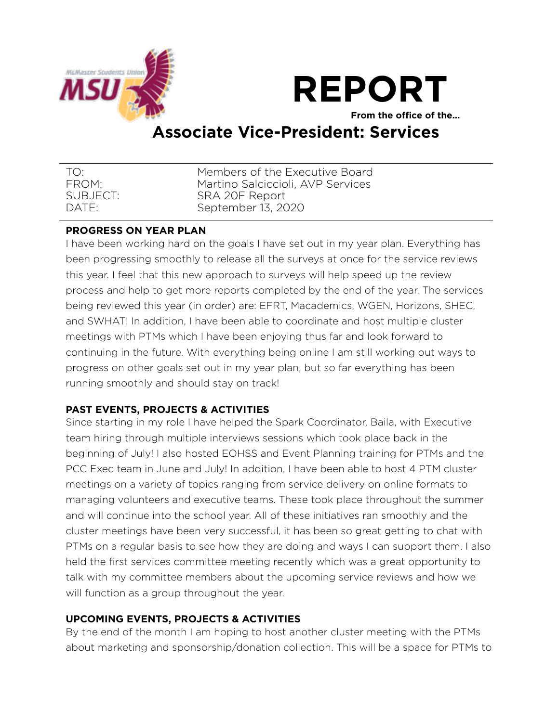



**From the office of the…** 

# **Associate Vice-President: Services**

| TO.               | Members of the Executive Board    |
|-------------------|-----------------------------------|
| FROM:             | Martino Salciccioli, AVP Services |
| SUBJECT:          | SRA 20F Report                    |
| DATF <sup>.</sup> | September 13, 2020                |

## **PROGRESS ON YEAR PLAN**

I have been working hard on the goals I have set out in my year plan. Everything has been progressing smoothly to release all the surveys at once for the service reviews this year. I feel that this new approach to surveys will help speed up the review process and help to get more reports completed by the end of the year. The services being reviewed this year (in order) are: EFRT, Macademics, WGEN, Horizons, SHEC, and SWHAT! In addition, I have been able to coordinate and host multiple cluster meetings with PTMs which I have been enjoying thus far and look forward to continuing in the future. With everything being online I am still working out ways to progress on other goals set out in my year plan, but so far everything has been running smoothly and should stay on track!

## **PAST EVENTS, PROJECTS & ACTIVITIES**

Since starting in my role I have helped the Spark Coordinator, Baila, with Executive team hiring through multiple interviews sessions which took place back in the beginning of July! I also hosted EOHSS and Event Planning training for PTMs and the PCC Exec team in June and July! In addition, I have been able to host 4 PTM cluster meetings on a variety of topics ranging from service delivery on online formats to managing volunteers and executive teams. These took place throughout the summer and will continue into the school year. All of these initiatives ran smoothly and the cluster meetings have been very successful, it has been so great getting to chat with PTMs on a regular basis to see how they are doing and ways I can support them. I also held the first services committee meeting recently which was a great opportunity to talk with my committee members about the upcoming service reviews and how we will function as a group throughout the year.

## **UPCOMING EVENTS, PROJECTS & ACTIVITIES**

By the end of the month I am hoping to host another cluster meeting with the PTMs about marketing and sponsorship/donation collection. This will be a space for PTMs to